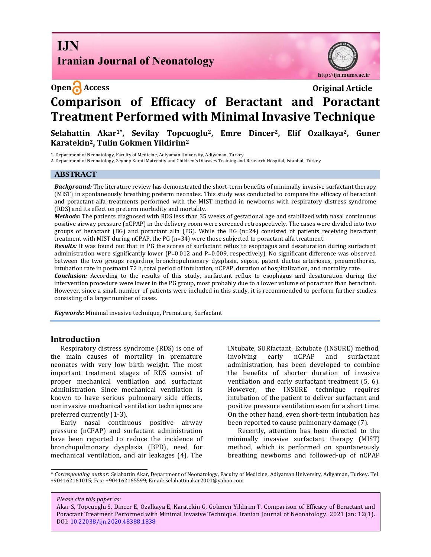## **I.IN Iranian Journal of Neonatology**

### **Open Access Original Article**



# **Comparison of Efficacy of Beractant and Poractant Treatment Performed with Minimal Invasive Technique**

**Selahattin Akar1\*, Sevilay Topcuoglu2, Emre Dincer2, Elif Ozalkaya2, Guner Karatekin2, Tulin Gokmen Yildirim<sup>2</sup>**

1. Department of Neonatology, Faculty of Medicine, Adiyaman University, Adiyaman, Turkey

2. Department of Neonatology, Zeynep Kamil Maternity and Children's Diseases Training and Research Hospital, Istanbul, Turkey

#### **ABSTRACT**

*Background:* The literature review has demonstrated the short-term benefits of minimally invasive surfactant therapy (MIST) in spontaneously breathing preterm neonates. This study was conducted to compare the efficacy of beractant and poractant alfa treatments performed with the MIST method in newborns with respiratory distress syndrome (RDS) and its effect on preterm morbidity and mortality.

*Methods:* The patients diagnosed with RDS less than 35 weeks of gestational age and stabilized with nasal continuous positive airway pressure (nCPAP) in the delivery room were screened retrospectively. The cases were divided into two groups of beractant (BG) and poractant alfa (PG). While the BG (n=24) consisted of patients receiving beractant treatment with MIST during nCPAP, the PG (n=34) were those subjected to poractant alfa treatment.

*Results:* It was found out that in PG the scores of surfactant reflux to esophagus and desaturation during surfactant administration were significantly lower (P=0.012 and P=0.009, respectively). No significant difference was observed between the two groups regarding bronchopulmonary dysplasia, sepsis, patent ductus arteriosus, pneumothorax, intubation rate in postnatal 72 h, total period of intubation, nCPAP, duration of hospitalization, and mortality rate.

*Conclusion:* According to the results of this study, surfactant reflux to esophagus and desaturation during the intervention procedure were lower in the PG group, most probably due to a lower volume of poractant than beractant. However, since a small number of patients were included in this study, it is recommended to perform further studies consisting of a larger number of cases.

*Keywords:* Minimal invasive technique, Premature, Surfactant

#### **Introduction**

Respiratory distress syndrome (RDS) is one of the main causes of mortality in premature neonates with very low birth weight. The most important treatment stages of RDS consist of proper mechanical ventilation and surfactant administration. Since mechanical ventilation is known to have serious pulmonary side effects, noninvasive mechanical ventilation techniques are preferred currently (1-3).

Early nasal continuous positive airway pressure (nCPAP) and surfactant administration have been reported to reduce the incidence of bronchopulmonary dysplasia (BPD), need for mechanical ventilation, and air leakages (4). The INtubate, SURfactant, Extubate (INSURE) method, involving early nCPAP and surfactant administration, has been developed to combine the benefits of shorter duration of invasive ventilation and early surfactant treatment (5, 6). However, the INSURE technique requires intubation of the patient to deliver surfactant and positive pressure ventilation even for a short time. On the other hand, even short-term intubation has been reported to cause pulmonary damage (7).

Recently, attention has been directed to the minimally invasive surfactant therapy (MIST) method, which is performed on spontaneously breathing newborns and followed-up of nCPAP

*\* Corresponding author*: Selahattin Akar, Department of Neonatology, Faculty of Medicine, Adiyaman University, Adiyaman, Turkey. Tel: +904162161015; Fax: +904162165599; Email: selahattinakar2001@yahoo.com

*Please cite this paper as:*

Akar S, Topcuoglu S, Dincer E, Ozalkaya E, Karatekin G, Gokmen Yildirim T. Comparison of Efficacy of Beractant and Poractant Treatment Performed with Minimal Invasive Technique. Iranian Journal of Neonatology. 2021 Jan: 12(1). DOI: [10.22038/ijn.2020.48388.1838](https://ijn.mums.ac.ir/)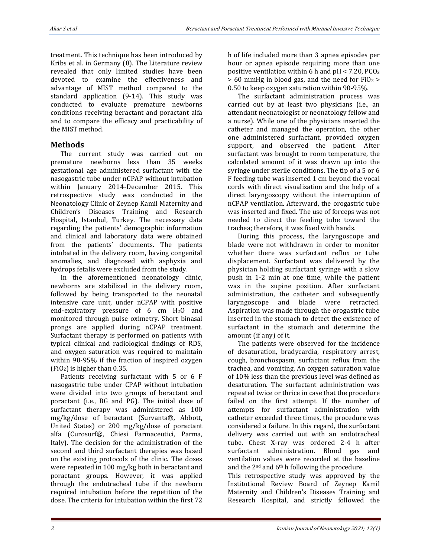treatment. This technique has been introduced by Kribs et al. in Germany (8). The Literature review revealed that only limited studies have been devoted to examine the effectiveness and advantage of MIST method compared to the standard application (9-14). This study was conducted to evaluate premature newborns conditions receiving beractant and poractant alfa and to compare the efficacy and practicability of the MIST method.

#### **Methods**

The current study was carried out on premature newborns less than 35 weeks gestational age administered surfactant with the nasogastric tube under nCPAP without intubation within January 2014-December 2015. This retrospective study was conducted in the Neonatology Clinic of Zeynep Kamil Maternity and Children's Diseases Training and Research Hospital, Istanbul, Turkey. The necessary data regarding the patients' demographic information and clinical and laboratory data were obtained from the patients' documents. The patients intubated in the delivery room, having congenital anomalies, and diagnosed with asphyxia and hydrops fetalis were excluded from the study.

In the aforementioned neonatology clinic, newborns are stabilized in the delivery room, followed by being transported to the neonatal intensive care unit, under nCPAP with positive end-expiratory pressure of 6 cm H2O and monitored through pulse oximetry. Short binasal prongs are applied during nCPAP treatment. Surfactant therapy is performed on patients with typical clinical and radiological findings of RDS, and oxygen saturation was required to maintain within 90-95% if the fraction of inspired oxygen (FiO2) is higher than 0.35.

Patients receiving surfactant with 5 or 6 F nasogastric tube under CPAP without intubation were divided into two groups of beractant and poractant (i.e., BG and PG). The initial dose of surfactant therapy was administered as 100 mg/kg/dose of beractant (Survanta®, Abbott, United States) or 200 mg/kg/dose of poractant alfa (Curosurf®, Chiesi Farmaceutici, Parma, Italy). The decision for the administration of the second and third surfactant therapies was based on the existing protocols of the clinic. The doses were repeated in 100 mg/kg both in beractant and poractant groups. However, it was applied through the endotracheal tube if the newborn required intubation before the repetition of the dose. The criteria for intubation within the first 72

h of life included more than 3 apnea episodes per hour or apnea episode requiring more than one positive ventilation within 6 h and  $pH < 7.20$ ,  $PCO<sub>2</sub>$  $> 60$  mmHg in blood gas, and the need for FiO<sub>2</sub>  $>$ 0.50 to keep oxygen saturation within 90-95%.

The surfactant administration process was carried out by at least two physicians (i.e., an attendant neonatologist or neonatology fellow and a nurse). While one of the physicians inserted the catheter and managed the operation, the other one administered surfactant, provided oxygen support, and observed the patient. After surfactant was brought to room temperature, the calculated amount of it was drawn up into the syringe under sterile conditions. The tip of a 5 or 6 F feeding tube was inserted 1 cm beyond the vocal cords with direct visualization and the help of a direct laryngoscopy without the interruption of nCPAP ventilation. Afterward, the orogastric tube was inserted and fixed. The use of forceps was not needed to direct the feeding tube toward the trachea; therefore, it was fixed with hands.

During this process, the laryngoscope and blade were not withdrawn in order to monitor whether there was surfactant reflux or tube displacement. Surfactant was delivered by the physician holding surfactant syringe with a slow push in 1-2 min at one time, while the patient was in the supine position. After surfactant administration, the catheter and subsequently laryngoscope and blade were retracted. Aspiration was made through the orogastric tube inserted in the stomach to detect the existence of surfactant in the stomach and determine the amount (if any) of it.

The patients were observed for the incidence of desaturation, bradycardia, respiratory arrest, cough, bronchospasm, surfactant reflux from the trachea, and vomiting. An oxygen saturation value of 10% less than the previous level was defined as desaturation. The surfactant administration was repeated twice or thrice in case that the procedure failed on the first attempt. If the number of attempts for surfactant administration with catheter exceeded three times, the procedure was considered a failure. In this regard, the surfactant delivery was carried out with an endotracheal tube. Chest X-ray was ordered 2-4 h after surfactant administration. Blood gas and ventilation values were recorded at the baseline and the  $2<sup>nd</sup>$  and  $6<sup>th</sup>$  h following the procedure.

This retrospective study was approved by the Institutional Review Board of Zeynep Kamil Maternity and Children's Diseases Training and Research Hospital, and strictly followed the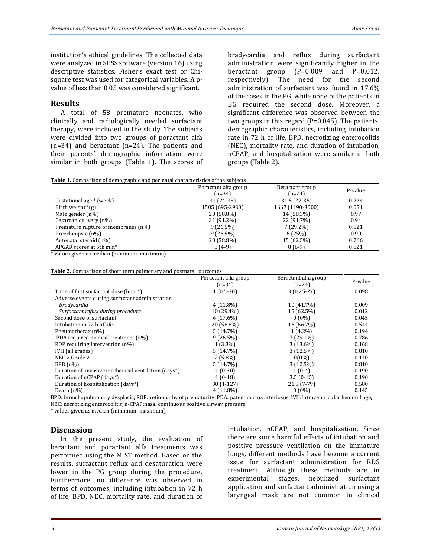institution's ethical guidelines. The collected data were analyzed in SPSS software (version 16) using descriptive statistics. Fisher's exact test or Chisquare test was used for categorical variables. A pvalue of less than 0.05 was considered significant.

#### **Results**

A total of 58 premature neonates, who clinically and radiologically needed surfactant therapy, were included in the study. The subjects were divided into two groups of poractant alfa (n=34) and beractant (n=24). The patients and their parents' demographic information were similar in both groups (Table 1). The scores of bradycardia and reflux during surfactant administration were significantly higher in the beractant group  $(P=0.009$  and  $P=0.012$ , respectively). The need for the second administration of surfactant was found in 17.6% of the cases in the PG, while none of the patients in BG required the second dose. Moreover, a significant difference was observed between the two groups in this regard (P=0.045). The patients' demographic characteristics, including intubation rate in 72 h of life, BPD, necrotizing enterocolitis (NEC), mortality rate, and duration of intubation, nCPAP, and hospitalization were similar in both groups (Table 2).

| <b>Table 1.</b> Comparison of demographic and perinatal characteristics of the subjects |  |  |
|-----------------------------------------------------------------------------------------|--|--|

|                                     | Poractant alfa group | Beractant group  | P-value |
|-------------------------------------|----------------------|------------------|---------|
|                                     | $(n=34)$             | $(n=24)$         |         |
| Gestational age * (week)            | $31(24-35)$          | $31.5(27-35)$    | 0.224   |
| Birth weight <sup>*</sup> $(g)$     | 1505 (695-2930)      | 1667 (1190-3000) | 0.051   |
| Male gender $(n\%)$                 | 20 (58.8%)           | 14 (58.3%)       | 0.97    |
| Cesarean delivery (n%)              | 31 (91.2%)           | 22 (91.7%)       | 0.94    |
| Premature rupture of membranes (n%) | $9(26.5\%)$          | $7(29.2\%)$      | 0.821   |
| Preeclampsia (n%)                   | $9(26.5\%)$          | 6(25%)           | 0.90    |
| Antenatal steroid (n%)              | 20 (58.8%)           | 15 (62.5%)       | 0.766   |
| APGAR scores at 5th min*            | $8(4-9)$             | $8(6-9)$         | 0.821   |

\* Values given as median (minimum–maximum)

|                                                     | Poractant alfa group<br>$(n=34)$ | Beractant alfa group<br>$(n=24)$ | P-value |
|-----------------------------------------------------|----------------------------------|----------------------------------|---------|
| Time of first surfactant dose (hour*)               | $1(0.5-20)$                      | $3(0.25-27)$                     | 0.098   |
| Adverse events during surfactant administration     |                                  |                                  |         |
| Bradycardia                                         | $4(11.8\%)$                      | 10 (41.7%)                       | 0.009   |
| Surfactant reflux during procedure                  | 10 (29.4%)                       | 15 (62.5%)                       | 0.012   |
| Second dose of surfactant                           | $6(17.6\%)$                      | $0(0\%)$                         | 0.045   |
| Intubation in 72 h of life                          | 20 (58.8%)                       | 16 (66.7%)                       | 0.544   |
| Pneumothorax (n%)                                   | 5(14.7%)                         | $1(4.2\%)$                       | 0.194   |
| PDA required medical treatment (n%)                 | $9(26.5\%)$                      | $7(29.1\%)$                      | 0.786   |
| ROP requiring intervention $(n\%)$                  | $1(3.3\%)$                       | $3(13.6\%)$                      | 0.168   |
| IVH (all grades)                                    | 5(14.7%)                         | 3(12.5%)                         | 0.810   |
| NEC > Grade 2                                       | $2(5.8\%)$                       | $0(0\%)$                         | 0.140   |
| $BPD(n\%)$                                          | 5(14.7%)                         | 3(12.5%)                         | 0.810   |
| Duration of invasive mechanical ventilation (days*) | $1(0-30)$                        | $1(0-4)$                         | 0.190   |
| Duration of nCPAP (days*)                           | $1(0-18)$                        | $3.5(0-15)$                      | 0.190   |
| Duration of hospitalization (days*)                 | $30(1-127)$                      | $21.5(7-79)$                     | 0.580   |
| Death $(n\%)$                                       | 4 (11.8%)                        | $0(0\%)$                         | 0.145   |

BPD: bronchopulmonary dysplasia, ROP: retinopathy of prematurity, PDA: patent ductus arteriosus, IVH:Intraventricular hemorrhage, NEC: necrotizing enterocolitis, n-CPAP:nasal continuous positive airway pressure

\* values given as median (minimum–maximum).

#### **Discussion**

In the present study, the evaluation of beractant and poractant alfa treatments was performed using the MIST method. Based on the results, surfactant reflux and desaturation were lower in the PG group during the procedure. Furthermore, no difference was observed in terms of outcomes, including intubation in 72 h of life, BPD, NEC, mortality rate, and duration of intubation, nCPAP, and hospitalization. Since there are some harmful effects of intubation and positive pressure ventilation on the immature lungs, different methods have become a current issue for surfactant administration for RDS treatment. Although these methods are in experimental stages, nebulized surfactant application and surfactant administration using a laryngeal mask are not common in clinical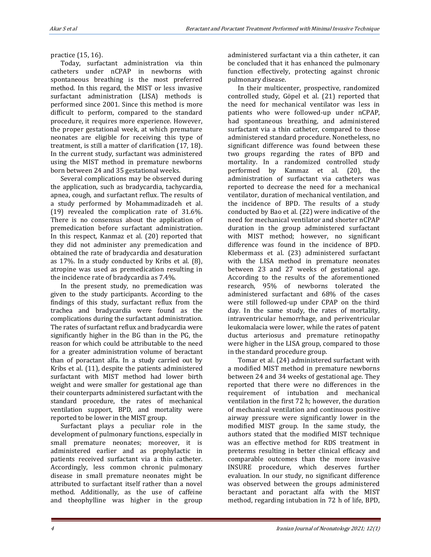#### practice (15, 16).

Today, surfactant administration via thin catheters under nCPAP in newborns with spontaneous breathing is the most preferred method. In this regard, the MIST or less invasive surfactant administration (LISA) methods is performed since 2001. Since this method is more difficult to perform, compared to the standard procedure, it requires more experience. However, the proper gestational week, at which premature neonates are eligible for receiving this type of treatment, is still a matter of clarification (17, 18). In the current study, surfactant was administered using the MIST method in premature newborns born between 24 and 35 gestational weeks.

Several complications may be observed during the application, such as bradycardia, tachycardia, apnea, cough, and surfactant reflux. The results of a study performed by Mohammadizadeh et al. (19) revealed the complication rate of 31.6%. There is no consensus about the application of premedication before surfactant administration. In this respect, Kanmaz et al. (20) reported that they did not administer any premedication and obtained the rate of bradycardia and desaturation as 17%. In a study conducted by Kribs et al. (8), atropine was used as premedication resulting in the incidence rate of bradycardia as 7.4%.

In the present study, no premedication was given to the study participants. According to the findings of this study, surfactant reflux from the trachea and bradycardia were found as the complications during the surfactant administration. The rates of surfactant reflux and bradycardia were significantly higher in the BG than in the PG, the reason for which could be attributable to the need for a greater administration volume of beractant than of poractant alfa. In a study carried out by Kribs et al. (11), despite the patients administered surfactant with MIST method had lower birth weight and were smaller for gestational age than their counterparts administered surfactant with the standard procedure, the rates of mechanical ventilation support, BPD, and mortality were reported to be lower in the MIST group.

Surfactant plays a peculiar role in the development of pulmonary functions, especially in small premature neonates; moreover, it is administered earlier and as prophylactic in patients received surfactant via a thin catheter. Accordingly, less common chronic pulmonary disease in small premature neonates might be attributed to surfactant itself rather than a novel method. Additionally, as the use of caffeine and theophylline was higher in the group administered surfactant via a thin catheter, it can be concluded that it has enhanced the pulmonary function effectively, protecting against chronic pulmonary disease.

In their multicenter, prospective, randomized controlled study, Göpel et al. (21) reported that the need for mechanical ventilator was less in patients who were followed-up under nCPAP, had spontaneous breathing, and administered surfactant via a thin catheter, compared to those administered standard procedure. Nonetheless, no significant difference was found between these two groups regarding the rates of BPD and mortality. In a randomized controlled study performed by Kanmaz et al. (20), the administration of surfactant via catheters was reported to decrease the need for a mechanical ventilator, duration of mechanical ventilation, and the incidence of BPD. The results of a study conducted by Bao et al. (22) were indicative of the need for mechanical ventilator and shorter nCPAP duration in the group administered surfactant with MIST method; however, no significant difference was found in the incidence of BPD. Klebermass et al. (23) administered surfactant with the LISA method in premature neonates between 23 and 27 weeks of gestational age. According to the results of the aforementioned research, 95% of newborns tolerated the administered surfactant and 68% of the cases were still followed-up under CPAP on the third day. In the same study, the rates of mortality, intraventricular hemorrhage, and periventricular leukomalacia were lower, while the rates of patent ductus arteriosus and premature retinopathy were higher in the LISA group, compared to those in the standard procedure group.

Tomar et al. (24) administered surfactant with a modified MIST method in premature newborns between 24 and 34 weeks of gestational age. They reported that there were no differences in the requirement of intubation and mechanical ventilation in the first 72 h; however, the duration of mechanical ventilation and continuous positive airway pressure were significantly lower in the modified MIST group. In the same study, the authors stated that the modified MIST technique was an effective method for RDS treatment in preterms resulting in better clinical efficacy and comparable outcomes than the more invasive INSURE procedure, which deserves further evaluation. In our study, no significant difference was observed between the groups administered beractant and poractant alfa with the MIST method, regarding intubation in 72 h of life, BPD,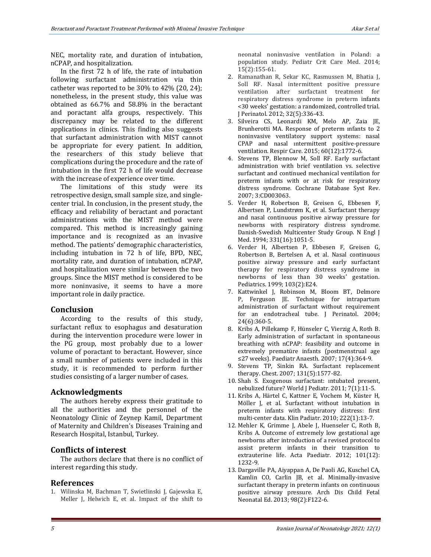NEC, mortality rate, and duration of intubation, nCPAP, and hospitalization.

In the first 72 h of life, the rate of intubation following surfactant administration via thin catheter was reported to be 30% to 42% (20, 24); nonetheless, in the present study, this value was obtained as 66.7% and 58.8% in the beractant and poractant alfa groups, respectively. This discrepancy may be related to the different applications in clinics. This finding also suggests that surfactant administration with MIST cannot be appropriate for every patient. In addition, the researchers of this study believe that complications during the procedure and the rate of intubation in the first 72 h of life would decrease with the increase of experience over time.

The limitations of this study were its retrospective design, small sample size, and singlecenter trial. In conclusion, in the present study, the efficacy and reliability of beractant and poractant administrations with the MIST method were compared. This method is increasingly gaining importance and is recognized as an invasive method. The patients' demographic characteristics, including intubation in 72 h of life, BPD, NEC, mortality rate, and duration of intubation, nCPAP, and hospitalization were similar between the two groups. Since the MIST method is considered to be more noninvasive, it seems to have a more important role in daily practice.

#### **Conclusion**

According to the results of this study, surfactant reflux to esophagus and desaturation during the intervention procedure were lower in the PG group, most probably due to a lower volume of poractant to beractant. However, since a small number of patients were included in this study, it is recommended to perform further studies consisting of a larger number of cases.

#### **Acknowledgments**

The authors hereby express their gratitude to all the authorities and the personnel of the Neonatology Clinic of Zeynep Kamil, Department of Maternity and Children's Diseases Training and Research Hospital, Istanbul, Turkey.

#### **Conflicts of interest**

The authors declare that there is no conflict of interest regarding this study.

#### **References**

1. Wilinska M, Bachman T, Swietlinski J, Gajewska E, Meller J, Helwich E, et al. Impact of the shift to neonatal noninvasive ventilation in Poland: a population study. Pediatr Crit Care Med. 2014; 15(2):155‐61.

- 2. Ramanathan R, Sekar KC, Rasmussen M, Bhatia J, Soll RF. Nasal intermittent positive pressure ventilation after surfactant treatment for respiratory distress syndrome in preterm infants <30 weeks' gestation: a randomized, controlled trial. J Perinatol. 2012; 32(5):336‐43.
- 3. Silveira CS, Leonardi KM, Melo AP, Zaia JE, Brunherotti MA. Response of preterm ınfants to 2 noninvasive ventilatory support systems: nasal CPAP and nasal ıntermittent positive-pressure ventilation. Respir Care. 2015; 60(12):1772‐6.
- 4. Stevens TP, Blennow M, Soll RF. Early surfactant administration with brief ventilation vs. selective surfactant and continued mechanical ventilation for preterm infants with or at risk for respiratory distress syndrome. Cochrane Database Syst Rev. 2007; 3:CD003063.
- 5. Verder H, Robertson B, Greisen G, Ebbesen F, Albertsen P, Lundstrøm K, et al. Surfactant therapy and nasal continuous positive airway pressure for newborns with respiratory distress syndrome. Danish-Swedish Multicenter Study Group. N Engl J Med. 1994; 331(16):1051‐5.
- 6. Verder H, Albertsen P, Ebbesen F, Greisen G, Robertson B, Bertelsen A, et al. Nasal continuous positive airway pressure and early surfactant therapy for respiratory distress syndrome in newborns of less than 30 weeks' gestation. Pediatrics. 1999; 103(2):E24.
- 7. Kattwinkel J, Robinson M, Bloom BT, Delmore P, Ferguson JE. Technique for intrapartum administration of surfactant without requirement for an endotracheal tube. J Perinatol. 2004; 24(6):360-5.
- 8. Kribs A, Pillekamp F, Hünseler C, Vierzig A, Roth B. Early administration of surfactant in spontaneous breathing with nCPAP: feasibility and outcome in extremely prematüre infants (postmenstrual age ≤27 weeks). Paediatr Anaesth. 2007; 17(4):364-9.
- 9. Stevens TP, Sinkin RA. Surfactant replacement therapy. Chest. 2007; 131(5):1577-82.
- 10. Shah S. Exogenous surfactant: ıntubated present, nebulized future? World J Pediatr. 2011; 7(1):11-5.
- 11. Kribs A, Härtel C, Kattner E, Vochem M, Küster H, Möller J, et al. Surfactant without intubation in preterm infants with respiratory distress: first multi-center data. Klin Padiatr. 2010; 222(1):13-7.
- 12. Mehler K, Grimme J, Abele J, Huenseler C, Roth B, Kribs A. Outcome of extremely low gestational age newborns after introduction of a revised protocol to assist preterm infants in their transition to extrauterine life. Acta Paediatr. 2012; 101(12): 1232-9.
- 13. Dargaville PA, Aiyappan A, De Paoli AG, Kuschel CA, Kamlin CO, Carlin JB, et al. Minimally-invasive surfactant therapy in preterm infants on continuous positive airway pressure. Arch Dis Child Fetal Neonatal Ed. 2013; 98(2):F122-6.